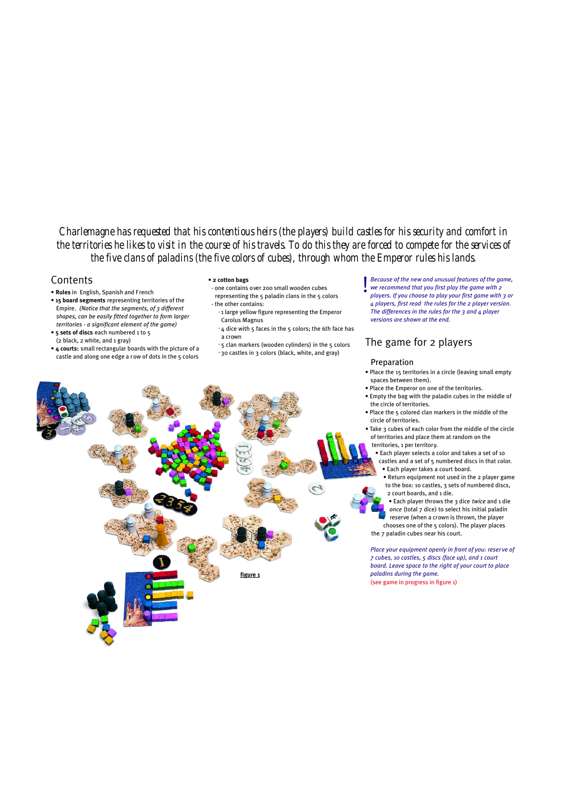*Charlemagne has requested that his contentious heirs (the players) build castles for his security and comfort in the territories he likes to visit in the course of his travels. To do this they are forced to compete for the services of the five clans of paladins (the five colors of cubes), through whom the Emperor rules his lands.*

## **Contents**

- **Rules** in English, Spanish and French
- **15 board segments** representing territories of the Empire. *(Notice that the segments, of 3 different shapes, can be easily fitted together to form larger territories - a significant element of the game)* • **5 sets of discs** each numbered 1 to 5
- (2 black, 2 white, and 1 gray)
- **4 courts:** small rectangular boards with the picture of a castle and along one edge a r ow of dots in the 5 colors
- **2 cotton bags**
- one contains over 200 small wooden cubes representing the 5 paladin clans in the 5 colors - the other contains:
- **•** 1 large yellow figure representing the Emperor Carolus Magnus
	- **•** 4 dice with 5 faces in the 5 colors; the 6th face has a crown
- **•** 5 clan markers (wooden cylinders) in the 5 colors
- **•** 30 castles in 3 colors (black, white, and gray)

*Because of the new and unusual features of the game, we recommend that you first play the game with 2 players. If you choose to play your first game with 3 or 4 players, first read the rules for the 2 player version. The differences in the rules for the 3 and 4 player versions are shown at the end.* **!**

# **The game for 2 players**

## Preparation

- Place the 15 territories in a circle (leaving small empty spaces between them).
- Place the Emperor on one of the territories.
- Empty the bag with the paladin cubes in the middle of the circle of territories.
- Place the 5 colored clan markers in the middle of the circle of territories.
- Take 3 cubes of each color from the middle of the circle of territories and place them at random on the territories, 1 per territory.
- Each player selects a color and takes a set of 10 castles and a set of 5 numbered discs in that color. • Each player takes a court board.
	- Return equipment not used in the 2 player game to the box: 10 castles, 3 sets of numbered discs, 2 court boards, and 1 die.
- Each player throws the 3 dice *twice* and 1 die *once* (total 7 dice) to select his initial paladin reserve (when a crown is thrown, the player
- chooses one of the 5 colors). The player places the 7 paladin cubes near his court.

*Place your equipment openly in front of you: reser ve of 7 cubes, 10 castles, 5 discs (face up), and 1 court board. Leave space to the right of your court to place paladins during the game.*  (see game in progress in figure 1)

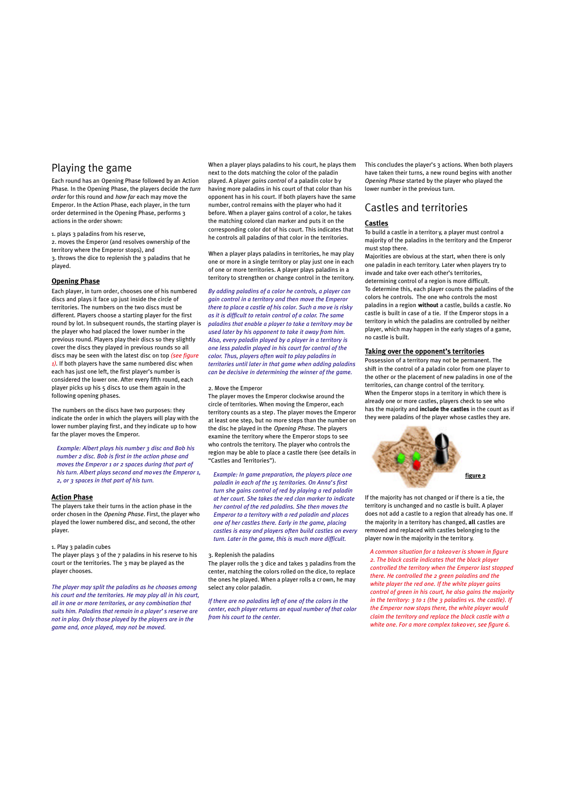## **Playing the game**

Each round has an Opening Phase followed by an Action Phase*.* In the Opening Phase, the players decide the *turn order* for this round and *how far* each may move the Emperor. In the Action Phase, each player, in the turn order determined in the Opening Phase, performs 3 actions in the order shown:

1. plays 3 paladins from his reser ve,

2. moves the Emperor (and resolves ownership of the territory where the Emperor stops), and 3. throws the dice to replenish the 3 paladins that he played.

## **Opening Phase**

Each player, in turn order, chooses one of his numbered discs and plays it face up just inside the circle of territories. The numbers on the two discs must be different. Players choose a starting player for the first round by lot. In subsequent rounds, the starting player is the player who had placed the lower number in the previous round. Players play their discs so they slightly cover the discs they played in previous rounds so all discs may be seen with the latest disc on top *(see figure 1).* If both players have the same numbered disc when each has just one left, the first player's number is considered the lower one. After every fifth round, each player picks up his 5 discs to use them again in the following opening phases.

The numbers on the discs have two purposes: they indicate the order in which the players will play with the lower number playing first, and they indicate up to how far the player moves the Emperor.

*Example: Albert plays his number 3 disc and Bob his number 2 disc. Bob is first in the action phase and moves the Emperor 1 or 2 spaces during that part of his turn. Albert plays second and moves the Emperor 1, 2, or 3 spaces in that part of his turn.*

#### **Action Phase**

The players take their turns in the action phase in the order chosen in the *Opening Phase*. First, the player who played the lower numbered disc, and second, the other player.

### 1. Play 3 paladin cubes

The player plays 3 of the 7 paladins in his reserve to his court or the territories. The 3 may be played as the player chooses.

*The player may split the paladins as he chooses among his court and the territories. He may play all in his court, all in one or more territories, or any combination that suits him. Paladins that remain in a player's reserve are not in play. Only those played by the players are in the game and, once played, may not be moved.*

When a player plays paladins to his court, he plays them next to the dots matching the color of the paladin played. A player *gains control* of a paladin color by having more paladins in his court of that color than his opponent has in his court. If both players have the same number, control remains with the player who had it before. When a player gains control of a color, he takes the matching colored clan marker and puts it on the corresponding color dot of his court. This indicates that he controls all paladins of that color in the territories.

When a player plays paladins in territories, he may play one or more in a single territory or play just one in each of one or more territories. A player plays paladins in a territory to strengthen or change control in the territory.

*By adding paladins of a color he controls, a player can gain control in a territory and then move the Emperor there to place a castle of his color. Such a move is risky as it is difficult to retain control of a color. The same paladins that enable a player to take a territory may be used later by his opponent to take it away from him. Also, every paladin played by a player in a territory is one less paladin played in his court for control of the color. Thus, players often wait to play paladins in territories until later in that game when adding paladins can be decisive in determining the winner of the game.*

#### 2. Move the Emperor

The player moves the Emperor clockwise around the circle of territories. When moving the Emperor, each territory counts as a step. The player moves the Emperor at least one step, but no more steps than the number on the disc he played in the *Opening Phase.* The players examine the territory where the Emperor stops to see who controls the territory. The player who controls the region may be able to place a castle there (see details in "Castles and Territories").

*Example: In game preparation, the players place one paladin in each of the 15 territories. On Anna's first turn she gains control of red by playing a red paladin at her court. She takes the red clan marker to indicate her control of the red paladins. She then moves the Emperor to a territory with a red paladin and places one of her castles there. Early in the game, placing castles is easy and players often build castles on every turn. Later in the game, this is much more difficult.*

#### 3. Replenish the paladins

The player rolls the  $3$  dice and takes  $3$  paladins from the center, matching the colors rolled on the dice, to replace the ones he played. When a player rolls a cr own, he may select any color paladin.

*If there are no paladins left of one of the colors in the center, each player returns an equal number of that color from his court to the center.*

This concludes the player's 3 actions. When both players have taken their turns, a new round begins with another *Opening Phase* started by the player who played the lower number in the previous turn.

# **Castles and territories**

### **Castles**

To build a castle in a territor y, a player must control a majority of the paladins in the territory and the Emperor must stop there.

Majorities are obvious at the start, when there is only one paladin in each territory. Later when players try to invade and take over each other's territories, determining control of a region is more difficult. To determine this, each player counts the paladins of the colors he controls. The one who controls the most paladins in a region **without** a castle, builds a castle. No castle is built in case of a tie. If the Emperor stops in a territory in which the paladins are controlled by neither player, which may happen in the early stages of a game, no castle is built.

#### **Taking over the opponent's territories**

Possession of a territory may not be permanent. The shift in the control of a paladin color from one player to the other or the placement of new paladins in one of the territories, can change control of the territor y. When the Emperor stops in a territory in which there is already one or more castles, players check to see who has the majority and **include the castles** in the count as if they were paladins of the player whose castles they are.



If the majority has not changed or if there is a tie, the territory is unchanged and no castle is built. A player does not add a castle to a region that already has one. If the majority in a territory has changed, **all** castles are removed and replaced with castles belonging to the player now in the majority in the territor y.

*A common situation for a takeover is shown in figure 2. The black castle indicates that the black player controlled the territory when the Emperor last stopped there. He controlled the 2 green paladins and the white player the red one. If the white player gains control of green in his court, he also gains the majority in the territory: 3 to 1 (the 3 paladins vs. the castle). If the Emperor now stops there, the white player would claim the territory and replace the black castle with a white one. For a more complex takeover, see figure 6.*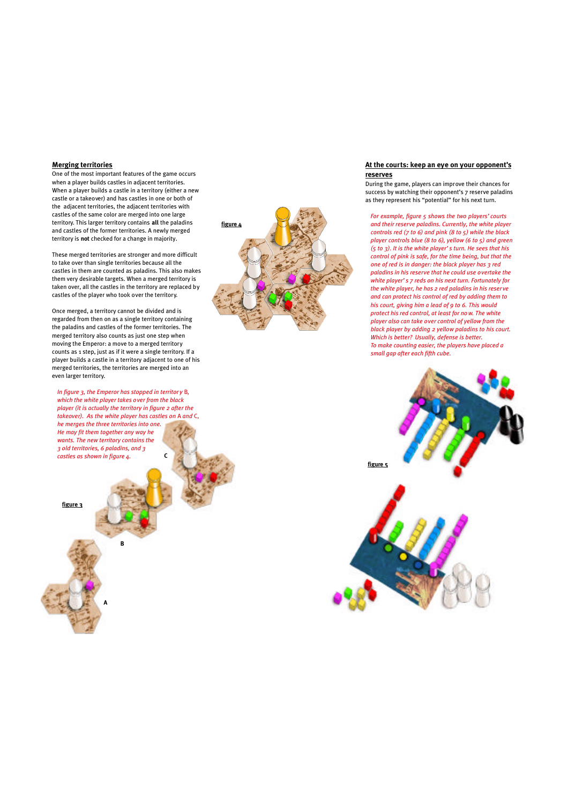### **Merging territories**

One of the most important features of the game occurs when a player builds castles in adjacent territories. When a player builds a castle in a territory (either a new castle or a takeover) and has castles in one or both of the adjacent territories, the adjacent territories with castles of the same color are merged into one large territory. This larger territory contains **all** the paladins and castles of the former territories. A newly merged territory is **not** checked for a change in majority.

These merged territories are stronger and more difficult to take over than single territories because all the castles in them are counted as paladins. This also makes them very desirable targets. When a merged territory is taken over, all the castles in the territory are replaced by castles of the player who took over the territory.

Once merged, a territory cannot be divided and is regarded from then on as a single territory containing the paladins and castles of the former territories. The merged territory also counts as just one step when moving the Emperor: a move to a merged territory counts as 1 step, just as if it were a single territory. If a player builds a castle in a territory adjacent to one of his merged territories, the territories are merged into an even larger territory.

*In figure 3, the Emperor has stopped in territory B, which the white player takes over from the black player (it is actually the territory in figure 2 after the takeover). As the white player has castles on* A *and* C, *he merges the three territories into one. He may fit them together any way he* 

**C**

*wants. The new territory contains the 3 old territories, 6 paladins, and 3 castles as shown in figure 4.*

**A**

**B**

**figure 3**

**figure 4**

### **At the courts: keep an eye on your opponent's reserves**

During the game, players can improve their chances for success by watching their opponent's 7 reserve paladins as they represent his "potential" for his next turn.

*For example, figure 5 shows the two players'courts and their reserve paladins. Currently, the white player controls red (7 to 6) and pink (8 to 5) while the black player controls blue (8 to 6), yellow (6 to 5) and green (5 to 3). It is the white player's turn. He sees that his control of pink is safe, for the time being, but that the one of red is in danger: the black player has 3 red paladins in his reserve that he could use overtake the white player's 7 reds on his next turn. Fortunately for the white player, he has 2 red paladins in his reser ve and can protect his control of red by adding them to his court, giving him a lead of 9 to 6. This would protect his red control, at least for now. The white player also can take over control of yellow from the black player by adding 2 yellow paladins to his court. Which is better? Usually, defense is better. To make counting easier, the players have placed a small gap after each fifth cube.*